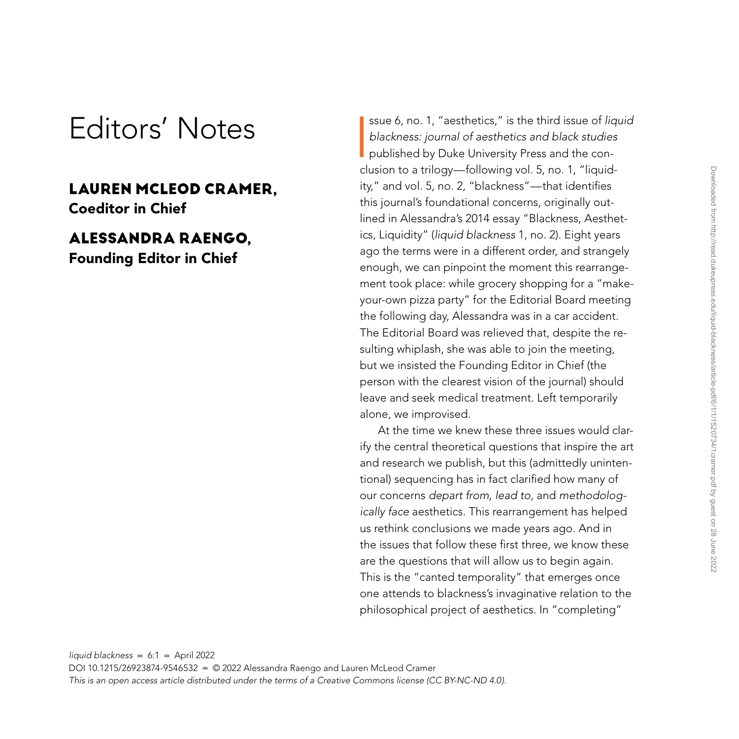## Editors' Notes

## **LAUREN MCLEOD CRAMER,** Coeditor in Chief

## **ALESSANDRA RAENGO,**

Founding Editor in Chief

**I** ssue 6, no. 1, "aesthetics," is the third issue of *liquid blackness: journal of aesthetics and black studies* published by Duke University Press and the conclusion to a trilogy—following vol. 5, no. 1, "liquidity," and vol. 5, no. 2, "blackness"—that identifies this journal's foundational concerns, originally outlined in Alessandra's 2014 essay "Blackness, Aesthetics, Liquidity" (*liquid blackness* 1, no. 2). Eight years ago the terms were in a different order, and strangely enough, we can pinpoint the moment this rearrangement took place: while grocery shopping for a "makeyour-own pizza party" for the Editorial Board meeting the following day, Alessandra was in a car accident. The Editorial Board was relieved that, despite the resulting whiplash, she was able to join the meeting, but we insisted the Founding Editor in Chief (the person with the clearest vision of the journal) should leave and seek medical treatment. Left temporarily alone, we improvised.

At the time we knew these three issues would clarify the central theoretical questions that inspire the art and research we publish, but this (admittedly unintentional) sequencing has in fact clarified how many of our concerns *depart from*, *lead to*, and *methodologically face* aesthetics. This rearrangement has helped us rethink conclusions we made years ago. And in the issues that follow these first three, we know these are the questions that will allow us to begin again. This is the "canted temporality" that emerges once one attends to blackness's invaginative relation to the philosophical project of aesthetics. In "completing"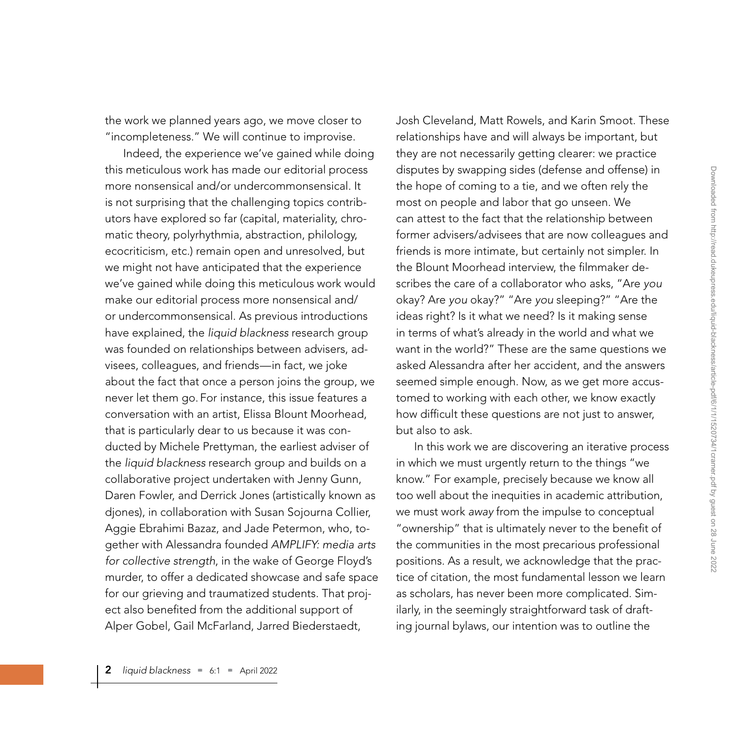the work we planned years ago, we move closer to "incompleteness." We will continue to improvise.

Indeed, the experience we've gained while doing this meticulous work has made our editorial process more nonsensical and/or undercommonsensical. It is not surprising that the challenging topics contributors have explored so far (capital, materiality, chromatic theory, polyrhythmia, abstraction, philology, ecocriticism, etc.) remain open and unresolved, but we might not have anticipated that the experience we've gained while doing this meticulous work would make our editorial process more nonsensical and/ or undercommonsensical. As previous introductions have explained, the *liquid blackness* research group was founded on relationships between advisers, advisees, colleagues, and friends—in fact, we joke about the fact that once a person joins the group, we never let them go. For instance, this issue features a conversation with an artist, Elissa Blount Moorhead, that is particularly dear to us because it was conducted by Michele Prettyman, the earliest adviser of the *liquid blackness* research group and builds on a collaborative project undertaken with Jenny Gunn, Daren Fowler, and Derrick Jones (artistically known as djones), in collaboration with Susan Sojourna Collier, Aggie Ebrahimi Bazaz, and Jade Petermon, who, together with Alessandra founded *AMPLIFY: media arts for collective strength*, in the wake of George Floyd's murder, to offer a dedicated showcase and safe space for our grieving and traumatized students. That project also benefited from the additional support of Alper Gobel, Gail McFarland, Jarred Biederstaedt,

Josh Cleveland, Matt Rowels, and Karin Smoot. These relationships have and will always be important, but they are not necessarily getting clearer: we practice disputes by swapping sides (defense and offense) in the hope of coming to a tie, and we often rely the most on people and labor that go unseen. We can attest to the fact that the relationship between former advisers/advisees that are now colleagues and friends is more intimate, but certainly not simpler. In the Blount Moorhead interview, the filmmaker describes the care of a collaborator who asks, "Are *you* okay? Are *you* okay?" "Are *you* sleeping?" "Are the ideas right? Is it what we need? Is it making sense in terms of what's already in the world and what we want in the world?" These are the same questions we asked Alessandra after her accident, and the answers seemed simple enough. Now, as we get more accustomed to working with each other, we know exactly how difficult these questions are not just to answer, but also to ask.

In this work we are discovering an iterative process in which we must urgently return to the things "we know." For example, precisely because we know all too well about the inequities in academic attribution, we must work *away* from the impulse to conceptual "ownership" that is ultimately never to the benefit of the communities in the most precarious professional positions. As a result, we acknowledge that the practice of citation, the most fundamental lesson we learn as scholars, has never been more complicated. Similarly, in the seemingly straightforward task of drafting journal bylaws, our intention was to outline the